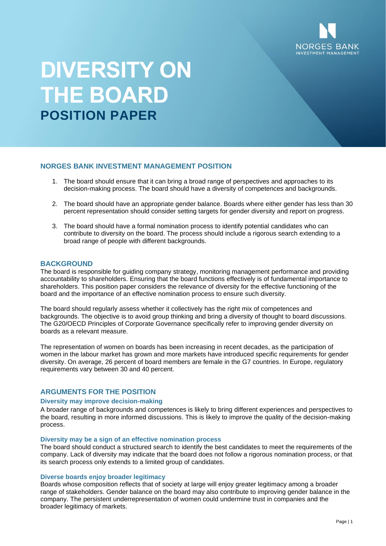

# **DIVERSITY ON THE BOARD POSITION PAPER**

## **NORGES BANK INVESTMENT MANAGEMENT POSITION**

- 1. The board should ensure that it can bring a broad range of perspectives and approaches to its decision-making process. The board should have a diversity of competences and backgrounds.
- 2. The board should have an appropriate gender balance. Boards where either gender has less than 30 percent representation should consider setting targets for gender diversity and report on progress.
- 3. The board should have a formal nomination process to identify potential candidates who can contribute to diversity on the board. The process should include a rigorous search extending to a broad range of people with different backgrounds.

## **BACKGROUND**

The board is responsible for guiding company strategy, monitoring management performance and providing accountability to shareholders. Ensuring that the board functions effectively is of fundamental importance to shareholders. This position paper considers the relevance of diversity for the effective functioning of the board and the importance of an effective nomination process to ensure such diversity.

The board should regularly assess whether it collectively has the right mix of competences and backgrounds. The objective is to avoid group thinking and bring a diversity of thought to board discussions. The G20/OECD Principles of Corporate Governance specifically refer to improving gender diversity on boards as a relevant measure.

The representation of women on boards has been increasing in recent decades, as the participation of women in the labour market has grown and more markets have introduced specific requirements for gender diversity. On average, 26 percent of board members are female in the G7 countries. In Europe, regulatory requirements vary between 30 and 40 percent.

## **ARGUMENTS FOR THE POSITION**

# **Diversity may improve decision-making**

A broader range of backgrounds and competences is likely to bring different experiences and perspectives to the board, resulting in more informed discussions. This is likely to improve the quality of the decision-making process.

#### **Diversity may be a sign of an effective nomination process**

The board should conduct a structured search to identify the best candidates to meet the requirements of the company. Lack of diversity may indicate that the board does not follow a rigorous nomination process, or that its search process only extends to a limited group of candidates.

### **Diverse boards enjoy broader legitimacy**

Boards whose composition reflects that of society at large will enjoy greater legitimacy among a broader range of stakeholders. Gender balance on the board may also contribute to improving gender balance in the company. The persistent underrepresentation of women could undermine trust in companies and the broader legitimacy of markets.